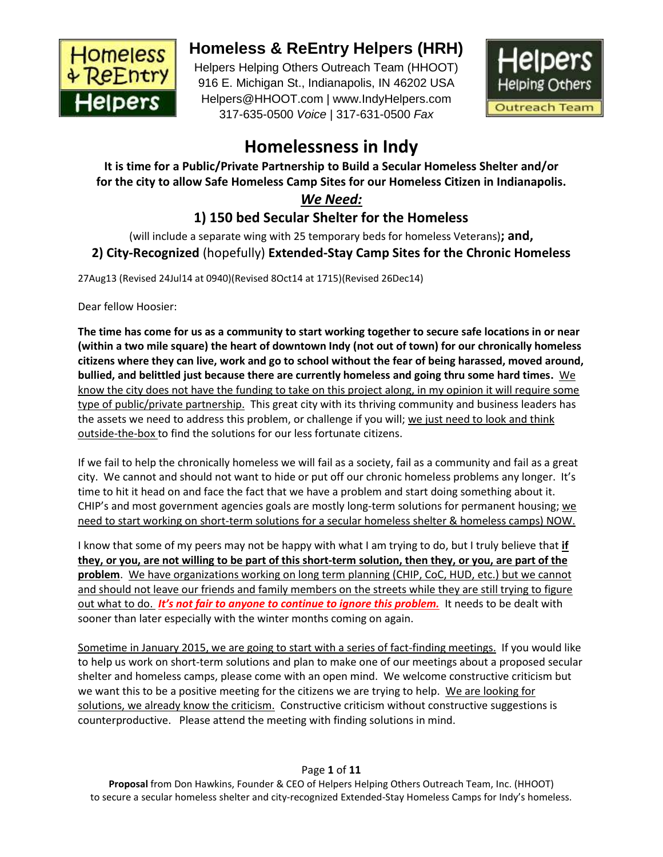

# **Homeless & ReEntry Helpers (HRH)**

Helpers Helping Others Outreach Team (HHOOT) 916 E. Michigan St., Indianapolis, IN 46202 USA Helpers@HHOOT.com | www.IndyHelpers.com 317-635-0500 *Voice* | 317-631-0500 *Fax*



# **Homelessness in Indy**

**It is time for a Public/Private Partnership to Build a Secular Homeless Shelter and/or for the city to allow Safe Homeless Camp Sites for our Homeless Citizen in Indianapolis.**

# *We Need:*

# **1) 150 bed Secular Shelter for the Homeless**

(will include a separate wing with 25 temporary beds for homeless Veterans)**; and, 2) City-Recognized** (hopefully) **Extended-Stay Camp Sites for the Chronic Homeless**

27Aug13 (Revised 24Jul14 at 0940)(Revised 8Oct14 at 1715)(Revised 26Dec14)

Dear fellow Hoosier:

**The time has come for us as a community to start working together to secure safe locations in or near (within a two mile square) the heart of downtown Indy (not out of town) for our chronically homeless citizens where they can live, work and go to school without the fear of being harassed, moved around, bullied, and belittled just because there are currently homeless and going thru some hard times.** We know the city does not have the funding to take on this project along, in my opinion it will require some type of public/private partnership. This great city with its thriving community and business leaders has the assets we need to address this problem, or challenge if you will; we just need to look and think outside-the-box to find the solutions for our less fortunate citizens.

If we fail to help the chronically homeless we will fail as a society, fail as a community and fail as a great city. We cannot and should not want to hide or put off our chronic homeless problems any longer. It's time to hit it head on and face the fact that we have a problem and start doing something about it. CHIP's and most government agencies goals are mostly long-term solutions for permanent housing; we need to start working on short-term solutions for a secular homeless shelter & homeless camps) NOW.

I know that some of my peers may not be happy with what I am trying to do, but I truly believe that **if they, or you, are not willing to be part of this short-term solution, then they, or you, are part of the problem**. We have organizations working on long term planning (CHIP, CoC, HUD, etc.) but we cannot and should not leave our friends and family members on the streets while they are still trying to figure out what to do. *It's not fair to anyone to continue to ignore this problem.* It needs to be dealt with sooner than later especially with the winter months coming on again.

Sometime in January 2015, we are going to start with a series of fact-finding meetings. If you would like to help us work on short-term solutions and plan to make one of our meetings about a proposed secular shelter and homeless camps, please come with an open mind. We welcome constructive criticism but we want this to be a positive meeting for the citizens we are trying to help. We are looking for solutions, we already know the criticism. Constructive criticism without constructive suggestions is counterproductive. Please attend the meeting with finding solutions in mind.

# Page **1** of **11**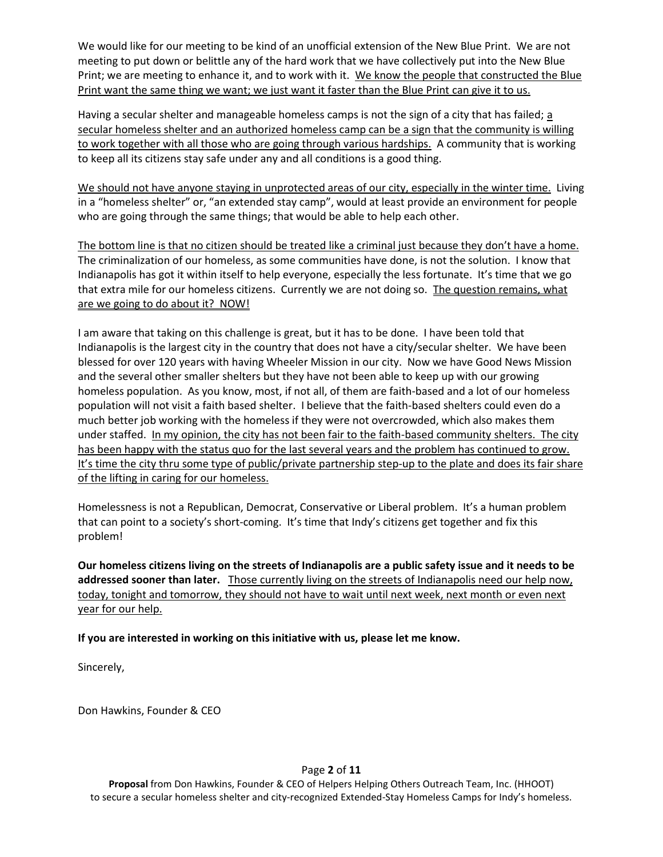We would like for our meeting to be kind of an unofficial extension of the New Blue Print. We are not meeting to put down or belittle any of the hard work that we have collectively put into the New Blue Print; we are meeting to enhance it, and to work with it. We know the people that constructed the Blue Print want the same thing we want; we just want it faster than the Blue Print can give it to us.

Having a secular shelter and manageable homeless camps is not the sign of a city that has failed; a secular homeless shelter and an authorized homeless camp can be a sign that the community is willing to work together with all those who are going through various hardships. A community that is working to keep all its citizens stay safe under any and all conditions is a good thing.

We should not have anyone staying in unprotected areas of our city, especially in the winter time. Living in a "homeless shelter" or, "an extended stay camp", would at least provide an environment for people who are going through the same things; that would be able to help each other.

The bottom line is that no citizen should be treated like a criminal just because they don't have a home. The criminalization of our homeless, as some communities have done, is not the solution. I know that Indianapolis has got it within itself to help everyone, especially the less fortunate. It's time that we go that extra mile for our homeless citizens. Currently we are not doing so. The question remains, what are we going to do about it? NOW!

I am aware that taking on this challenge is great, but it has to be done. I have been told that Indianapolis is the largest city in the country that does not have a city/secular shelter. We have been blessed for over 120 years with having Wheeler Mission in our city. Now we have Good News Mission and the several other smaller shelters but they have not been able to keep up with our growing homeless population. As you know, most, if not all, of them are faith-based and a lot of our homeless population will not visit a faith based shelter. I believe that the faith-based shelters could even do a much better job working with the homeless if they were not overcrowded, which also makes them under staffed. In my opinion, the city has not been fair to the faith-based community shelters. The city has been happy with the status quo for the last several years and the problem has continued to grow. It's time the city thru some type of public/private partnership step-up to the plate and does its fair share of the lifting in caring for our homeless.

Homelessness is not a Republican, Democrat, Conservative or Liberal problem. It's a human problem that can point to a society's short-coming. It's time that Indy's citizens get together and fix this problem!

**Our homeless citizens living on the streets of Indianapolis are a public safety issue and it needs to be addressed sooner than later.** Those currently living on the streets of Indianapolis need our help now, today, tonight and tomorrow, they should not have to wait until next week, next month or even next year for our help.

**If you are interested in working on this initiative with us, please let me know.**

Sincerely,

Don Hawkins, Founder & CEO

#### Page **2** of **11**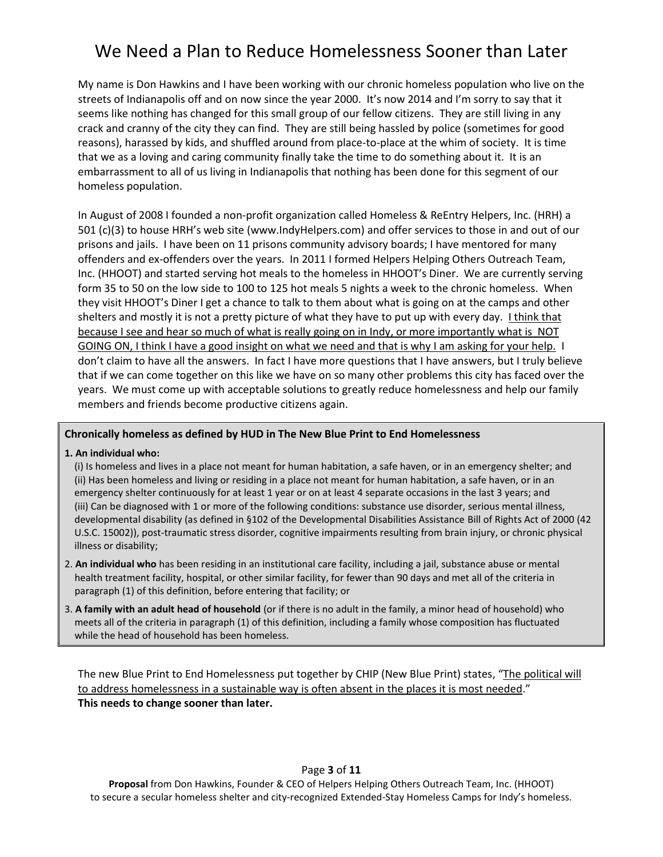# We Need a Plan to Reduce Homelessness Sooner than Later

My name is Don Hawkins and I have been working with our chronic homeless population who live on the streets of Indianapolis off and on now since the year 2000. It's now 2014 and I'm sorry to say that it seems like nothing has changed for this small group of our fellow citizens. They are still living in any crack and cranny of the city they can find. They are still being hassled by police (sometimes for good reasons), harassed by kids, and shuffled around from place-to-place at the whim of society. It is time that we as a loving and caring community finally take the time to do something about it. It is an embarrassment to all of us living in Indianapolis that nothing has been done for this segment of our homeless population.

In August of 2008 I founded a non-profit organization called Homeless & ReEntry Helpers, Inc. (HRH) a 501 (c)(3) to house HRH's web site (www.IndyHelpers.com) and offer services to those in and out of our prisons and jails. I have been on 11 prisons community advisory boards; I have mentored for many offenders and ex-offenders over the years. In 2011 I formed Helpers Helping Others Outreach Team, Inc. (HHOOT) and started serving hot meals to the homeless in HHOOT's Diner. We are currently serving form 35 to 50 on the low side to 100 to 125 hot meals 5 nights a week to the chronic homeless. When they visit HHOOT's Diner I get a chance to talk to them about what is going on at the camps and other shelters and mostly it is not a pretty picture of what they have to put up with every day. I think that because I see and hear so much of what is really going on in Indy, or more importantly what is NOT GOING ON, I think I have a good insight on what we need and that is why I am asking for your help. I don't claim to have all the answers. In fact I have more questions that I have answers, but I truly believe that if we can come together on this like we have on so many other problems this city has faced over the years. We must come up with acceptable solutions to greatly reduce homelessness and help our family members and friends become productive citizens again.

#### **Chronically homeless as defined by HUD in The New Blue Print to End Homelessness**

**1. An individual who:**

(i) Is homeless and lives in a place not meant for human habitation, a safe haven, or in an emergency shelter; and (ii) Has been homeless and living or residing in a place not meant for human habitation, a safe haven, or in an emergency shelter continuously for at least 1 year or on at least 4 separate occasions in the last 3 years; and (iii) Can be diagnosed with 1 or more of the following conditions: substance use disorder, serious mental illness, developmental disability (as defined in §102 of the Developmental Disabilities Assistance Bill of Rights Act of 2000 (42 U.S.C. 15002)), post-traumatic stress disorder, cognitive impairments resulting from brain injury, or chronic physical illness or disability;

- 2. **An individual who** has been residing in an institutional care facility, including a jail, substance abuse or mental health treatment facility, hospital, or other similar facility, for fewer than 90 days and met all of the criteria in paragraph (1) of this definition, before entering that facility; or
- 3. **A family with an adult head of household** (or if there is no adult in the family, a minor head of household) who meets all of the criteria in paragraph (1) of this definition, including a family whose composition has fluctuated while the head of household has been homeless.

The new Blue Print to End Homelessness put together by CHIP (New Blue Print) states, "The political will to address homelessness in a sustainable way is often absent in the places it is most needed." **This needs to change sooner than later.**

Page **3** of **11**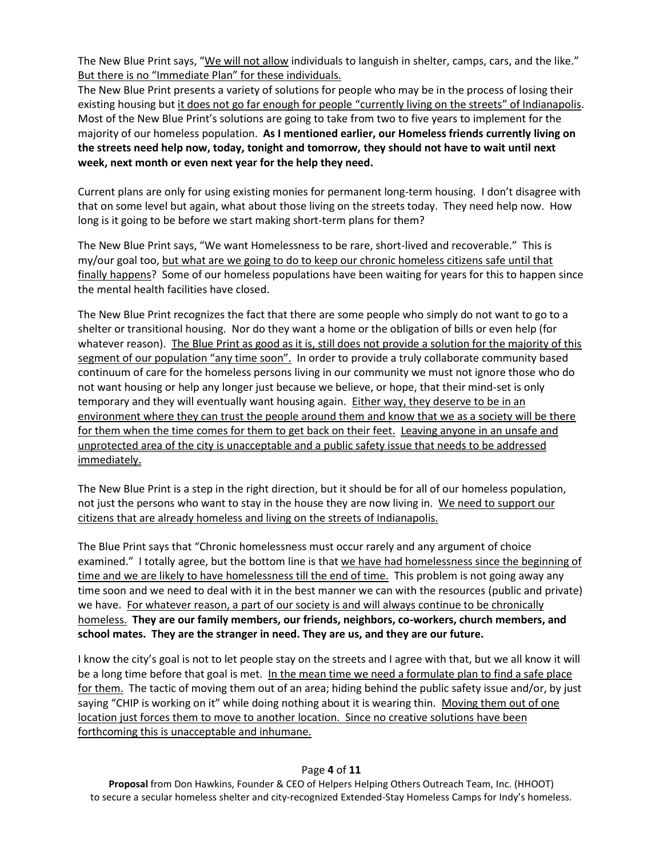The New Blue Print says, "We will not allow individuals to languish in shelter, camps, cars, and the like." But there is no "Immediate Plan" for these individuals.

The New Blue Print presents a variety of solutions for people who may be in the process of losing their existing housing but it does not go far enough for people "currently living on the streets" of Indianapolis. Most of the New Blue Print's solutions are going to take from two to five years to implement for the majority of our homeless population. **As I mentioned earlier, our Homeless friends currently living on the streets need help now, today, tonight and tomorrow, they should not have to wait until next week, next month or even next year for the help they need.**

Current plans are only for using existing monies for permanent long-term housing. I don't disagree with that on some level but again, what about those living on the streets today. They need help now. How long is it going to be before we start making short-term plans for them?

The New Blue Print says, "We want Homelessness to be rare, short-lived and recoverable." This is my/our goal too, but what are we going to do to keep our chronic homeless citizens safe until that finally happens? Some of our homeless populations have been waiting for years for this to happen since the mental health facilities have closed.

The New Blue Print recognizes the fact that there are some people who simply do not want to go to a shelter or transitional housing. Nor do they want a home or the obligation of bills or even help (for whatever reason). The Blue Print as good as it is, still does not provide a solution for the majority of this segment of our population "any time soon". In order to provide a truly collaborate community based continuum of care for the homeless persons living in our community we must not ignore those who do not want housing or help any longer just because we believe, or hope, that their mind-set is only temporary and they will eventually want housing again. Either way, they deserve to be in an environment where they can trust the people around them and know that we as a society will be there for them when the time comes for them to get back on their feet. Leaving anyone in an unsafe and unprotected area of the city is unacceptable and a public safety issue that needs to be addressed immediately.

The New Blue Print is a step in the right direction, but it should be for all of our homeless population, not just the persons who want to stay in the house they are now living in. We need to support our citizens that are already homeless and living on the streets of Indianapolis.

The Blue Print says that "Chronic homelessness must occur rarely and any argument of choice examined." I totally agree, but the bottom line is that we have had homelessness since the beginning of time and we are likely to have homelessness till the end of time. This problem is not going away any time soon and we need to deal with it in the best manner we can with the resources (public and private) we have. For whatever reason, a part of our society is and will always continue to be chronically homeless. **They are our family members, our friends, neighbors, co-workers, church members, and school mates. They are the stranger in need. They are us, and they are our future.**

I know the city's goal is not to let people stay on the streets and I agree with that, but we all know it will be a long time before that goal is met. In the mean time we need a formulate plan to find a safe place for them. The tactic of moving them out of an area; hiding behind the public safety issue and/or, by just saying "CHIP is working on it" while doing nothing about it is wearing thin. Moving them out of one location just forces them to move to another location. Since no creative solutions have been forthcoming this is unacceptable and inhumane.

#### Page **4** of **11**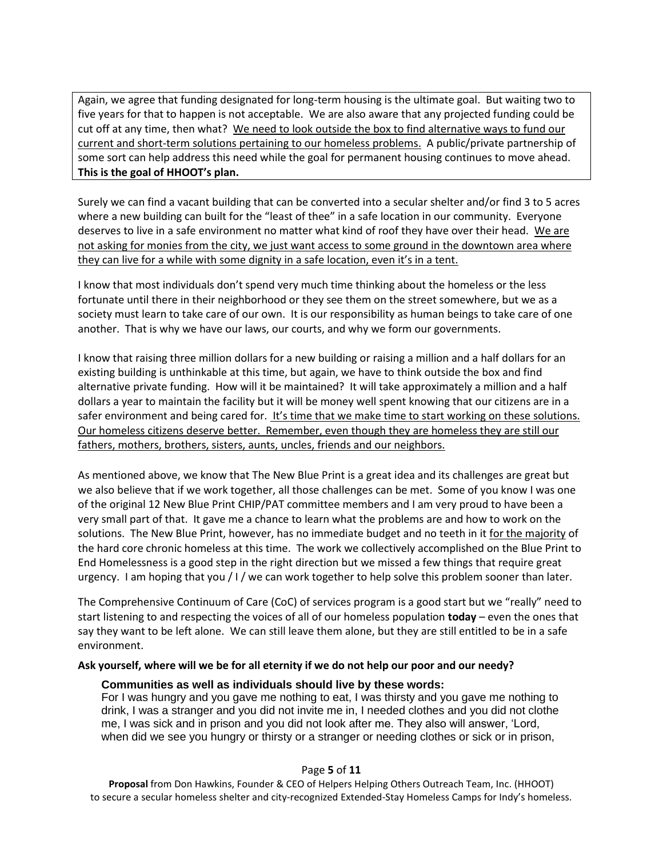Again, we agree that funding designated for long-term housing is the ultimate goal. But waiting two to five years for that to happen is not acceptable. We are also aware that any projected funding could be cut off at any time, then what? We need to look outside the box to find alternative ways to fund our current and short-term solutions pertaining to our homeless problems. A public/private partnership of some sort can help address this need while the goal for permanent housing continues to move ahead. **This is the goal of HHOOT's plan.**

Surely we can find a vacant building that can be converted into a secular shelter and/or find 3 to 5 acres where a new building can built for the "least of thee" in a safe location in our community. Everyone deserves to live in a safe environment no matter what kind of roof they have over their head. We are not asking for monies from the city, we just want access to some ground in the downtown area where they can live for a while with some dignity in a safe location, even it's in a tent.

I know that most individuals don't spend very much time thinking about the homeless or the less fortunate until there in their neighborhood or they see them on the street somewhere, but we as a society must learn to take care of our own. It is our responsibility as human beings to take care of one another. That is why we have our laws, our courts, and why we form our governments.

I know that raising three million dollars for a new building or raising a million and a half dollars for an existing building is unthinkable at this time, but again, we have to think outside the box and find alternative private funding. How will it be maintained? It will take approximately a million and a half dollars a year to maintain the facility but it will be money well spent knowing that our citizens are in a safer environment and being cared for. It's time that we make time to start working on these solutions. Our homeless citizens deserve better. Remember, even though they are homeless they are still our fathers, mothers, brothers, sisters, aunts, uncles, friends and our neighbors.

As mentioned above, we know that The New Blue Print is a great idea and its challenges are great but we also believe that if we work together, all those challenges can be met. Some of you know I was one of the original 12 New Blue Print CHIP/PAT committee members and I am very proud to have been a very small part of that. It gave me a chance to learn what the problems are and how to work on the solutions. The New Blue Print, however, has no immediate budget and no teeth in it for the majority of the hard core chronic homeless at this time. The work we collectively accomplished on the Blue Print to End Homelessness is a good step in the right direction but we missed a few things that require great urgency. I am hoping that you / I / we can work together to help solve this problem sooner than later.

The Comprehensive Continuum of Care (CoC) of services program is a good start but we "really" need to start listening to and respecting the voices of all of our homeless population **today** – even the ones that say they want to be left alone. We can still leave them alone, but they are still entitled to be in a safe environment.

#### **Ask yourself, where will we be for all eternity if we do not help our poor and our needy?**

#### **Communities as well as individuals should live by these words:**

For I was hungry and you gave me nothing to eat, I was thirsty and you gave me nothing to drink, I was a stranger and you did not invite me in, I needed clothes and you did not clothe me, I was sick and in prison and you did not look after me. They also will answer, 'Lord, when did we see you hungry or thirsty or a stranger or needing clothes or sick or in prison,

#### Page **5** of **11**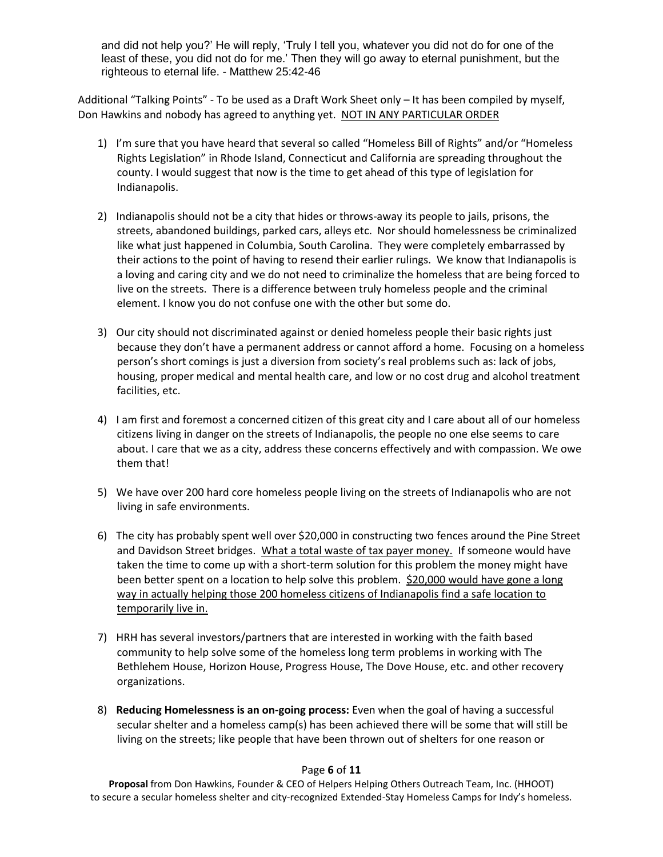and did not help you?' He will reply, 'Truly I tell you, whatever you did not do for one of the least of these, you did not do for me.' Then they will go away to eternal punishment, but the righteous to eternal life. - Matthew 25:42-46

Additional "Talking Points" - To be used as a Draft Work Sheet only – It has been compiled by myself, Don Hawkins and nobody has agreed to anything yet. NOT IN ANY PARTICULAR ORDER

- 1) I'm sure that you have heard that several so called "Homeless Bill of Rights" and/or "Homeless Rights Legislation" in Rhode Island, Connecticut and California are spreading throughout the county. I would suggest that now is the time to get ahead of this type of legislation for Indianapolis.
- 2) Indianapolis should not be a city that hides or throws-away its people to jails, prisons, the streets, abandoned buildings, parked cars, alleys etc. Nor should homelessness be criminalized like what just happened in Columbia, South Carolina. They were completely embarrassed by their actions to the point of having to resend their earlier rulings. We know that Indianapolis is a loving and caring city and we do not need to criminalize the homeless that are being forced to live on the streets. There is a difference between truly homeless people and the criminal element. I know you do not confuse one with the other but some do.
- 3) Our city should not discriminated against or denied homeless people their basic rights just because they don't have a permanent address or cannot afford a home. Focusing on a homeless person's short comings is just a diversion from society's real problems such as: lack of jobs, housing, proper medical and mental health care, and low or no cost drug and alcohol treatment facilities, etc.
- 4) I am first and foremost a concerned citizen of this great city and I care about all of our homeless citizens living in danger on the streets of Indianapolis, the people no one else seems to care about. I care that we as a city, address these concerns effectively and with compassion. We owe them that!
- 5) We have over 200 hard core homeless people living on the streets of Indianapolis who are not living in safe environments.
- 6) The city has probably spent well over \$20,000 in constructing two fences around the Pine Street and Davidson Street bridges. What a total waste of tax payer money. If someone would have taken the time to come up with a short-term solution for this problem the money might have been better spent on a location to help solve this problem. \$20,000 would have gone a long way in actually helping those 200 homeless citizens of Indianapolis find a safe location to temporarily live in.
- 7) HRH has several investors/partners that are interested in working with the faith based community to help solve some of the homeless long term problems in working with The Bethlehem House, Horizon House, Progress House, The Dove House, etc. and other recovery organizations.
- 8) **Reducing Homelessness is an on-going process:** Even when the goal of having a successful secular shelter and a homeless camp(s) has been achieved there will be some that will still be living on the streets; like people that have been thrown out of shelters for one reason or

#### Page **6** of **11**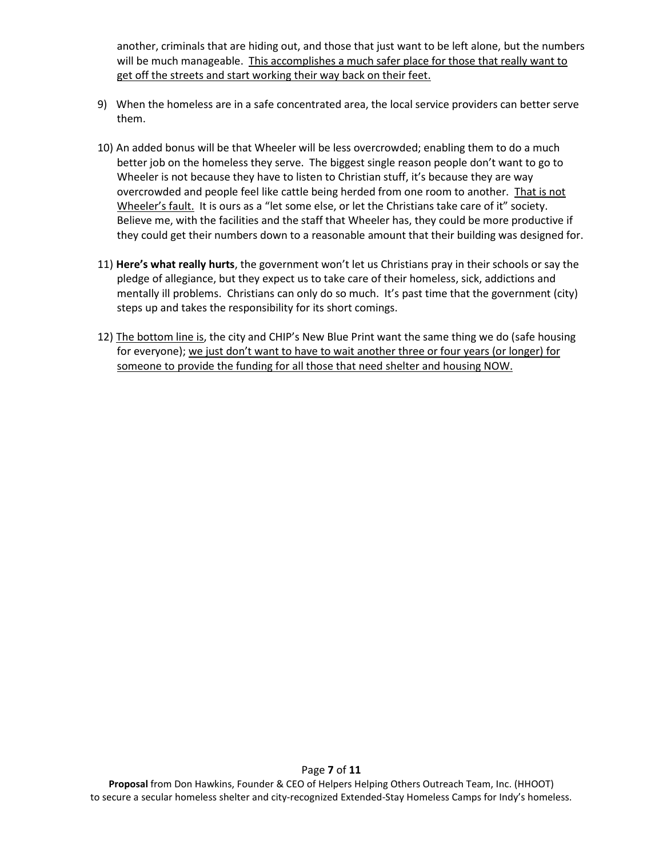another, criminals that are hiding out, and those that just want to be left alone, but the numbers will be much manageable. This accomplishes a much safer place for those that really want to get off the streets and start working their way back on their feet.

- 9) When the homeless are in a safe concentrated area, the local service providers can better serve them.
- 10) An added bonus will be that Wheeler will be less overcrowded; enabling them to do a much better job on the homeless they serve. The biggest single reason people don't want to go to Wheeler is not because they have to listen to Christian stuff, it's because they are way overcrowded and people feel like cattle being herded from one room to another. That is not Wheeler's fault. It is ours as a "let some else, or let the Christians take care of it" society. Believe me, with the facilities and the staff that Wheeler has, they could be more productive if they could get their numbers down to a reasonable amount that their building was designed for.
- 11) **Here's what really hurts**, the government won't let us Christians pray in their schools or say the pledge of allegiance, but they expect us to take care of their homeless, sick, addictions and mentally ill problems. Christians can only do so much. It's past time that the government (city) steps up and takes the responsibility for its short comings.
- 12) The bottom line is, the city and CHIP's New Blue Print want the same thing we do (safe housing for everyone); we just don't want to have to wait another three or four years (or longer) for someone to provide the funding for all those that need shelter and housing NOW.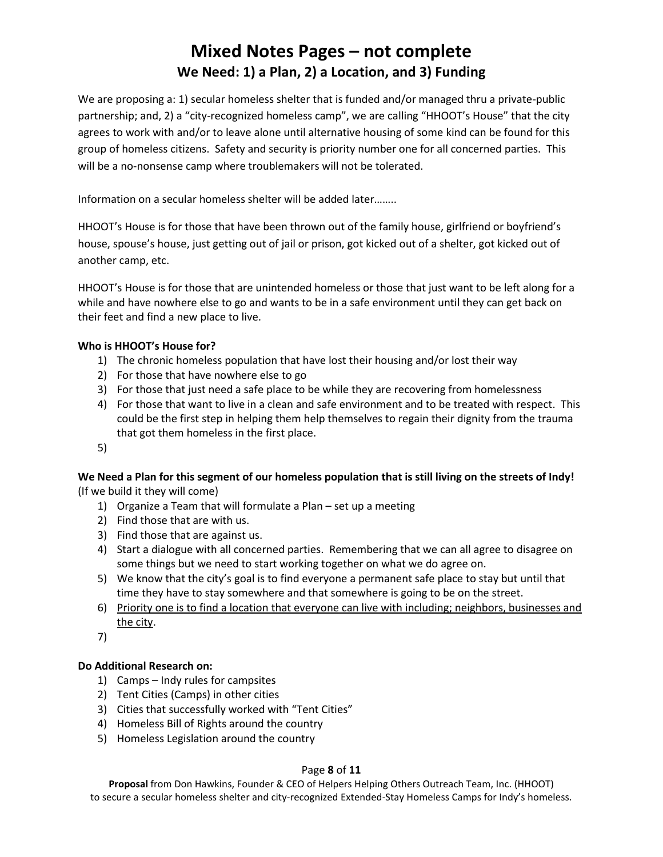# **Mixed Notes Pages – not complete We Need: 1) a Plan, 2) a Location, and 3) Funding**

We are proposing a: 1) secular homeless shelter that is funded and/or managed thru a private-public partnership; and, 2) a "city-recognized homeless camp", we are calling "HHOOT's House" that the city agrees to work with and/or to leave alone until alternative housing of some kind can be found for this group of homeless citizens. Safety and security is priority number one for all concerned parties. This will be a no-nonsense camp where troublemakers will not be tolerated.

Information on a secular homeless shelter will be added later……..

HHOOT's House is for those that have been thrown out of the family house, girlfriend or boyfriend's house, spouse's house, just getting out of jail or prison, got kicked out of a shelter, got kicked out of another camp, etc.

HHOOT's House is for those that are unintended homeless or those that just want to be left along for a while and have nowhere else to go and wants to be in a safe environment until they can get back on their feet and find a new place to live.

# **Who is HHOOT's House for?**

- 1) The chronic homeless population that have lost their housing and/or lost their way
- 2) For those that have nowhere else to go
- 3) For those that just need a safe place to be while they are recovering from homelessness
- 4) For those that want to live in a clean and safe environment and to be treated with respect. This could be the first step in helping them help themselves to regain their dignity from the trauma that got them homeless in the first place.
- 5)

## **We Need a Plan for this segment of our homeless population that is still living on the streets of Indy!** (If we build it they will come)

- 1) Organize a Team that will formulate a Plan set up a meeting
- 2) Find those that are with us.
- 3) Find those that are against us.
- 4) Start a dialogue with all concerned parties. Remembering that we can all agree to disagree on some things but we need to start working together on what we do agree on.
- 5) We know that the city's goal is to find everyone a permanent safe place to stay but until that time they have to stay somewhere and that somewhere is going to be on the street.
- 6) Priority one is to find a location that everyone can live with including; neighbors, businesses and the city.
- 7)

## **Do Additional Research on:**

- 1) Camps Indy rules for campsites
- 2) Tent Cities (Camps) in other cities
- 3) Cities that successfully worked with "Tent Cities"
- 4) Homeless Bill of Rights around the country
- 5) Homeless Legislation around the country

## Page **8** of **11**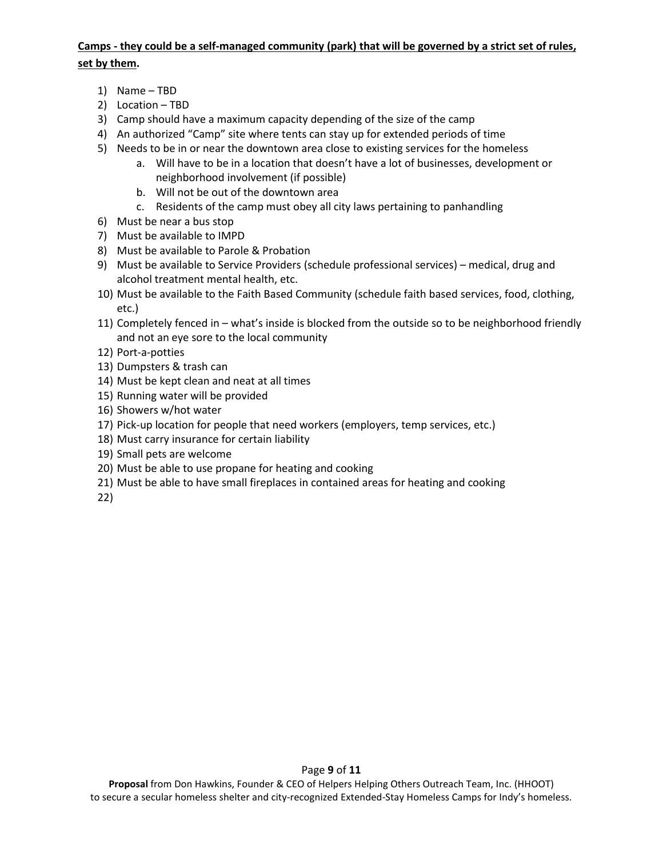# **Camps - they could be a self-managed community (park) that will be governed by a strict set of rules, set by them.**

- 1) Name TBD
- 2) Location TBD
- 3) Camp should have a maximum capacity depending of the size of the camp
- 4) An authorized "Camp" site where tents can stay up for extended periods of time
- 5) Needs to be in or near the downtown area close to existing services for the homeless
	- a. Will have to be in a location that doesn't have a lot of businesses, development or neighborhood involvement (if possible)
	- b. Will not be out of the downtown area
	- c. Residents of the camp must obey all city laws pertaining to panhandling
- 6) Must be near a bus stop
- 7) Must be available to IMPD
- 8) Must be available to Parole & Probation
- 9) Must be available to Service Providers (schedule professional services) medical, drug and alcohol treatment mental health, etc.
- 10) Must be available to the Faith Based Community (schedule faith based services, food, clothing, etc.)
- 11) Completely fenced in what's inside is blocked from the outside so to be neighborhood friendly and not an eye sore to the local community
- 12) Port-a-potties
- 13) Dumpsters & trash can
- 14) Must be kept clean and neat at all times
- 15) Running water will be provided
- 16) Showers w/hot water
- 17) Pick-up location for people that need workers (employers, temp services, etc.)
- 18) Must carry insurance for certain liability
- 19) Small pets are welcome
- 20) Must be able to use propane for heating and cooking
- 21) Must be able to have small fireplaces in contained areas for heating and cooking

22)

Page **9** of **11**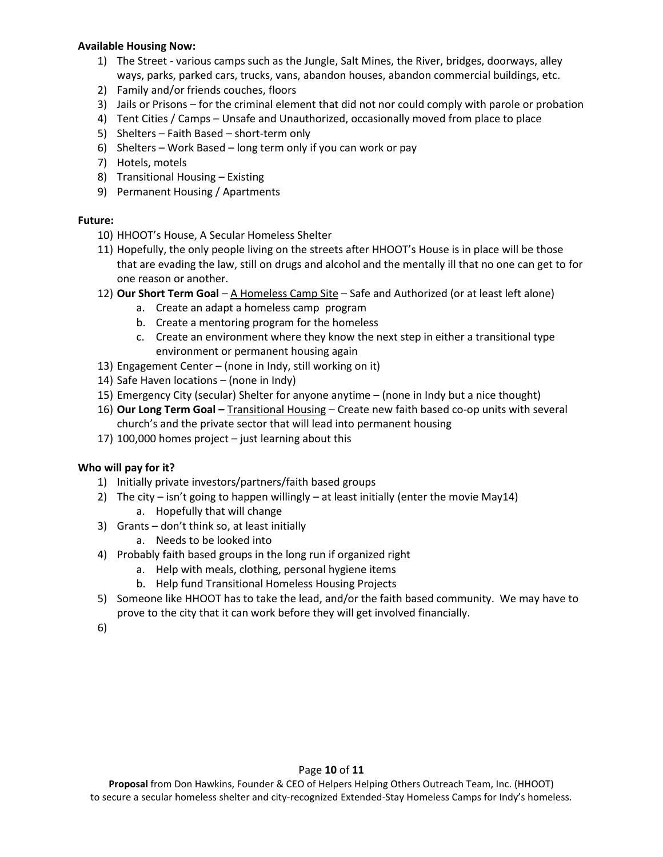#### **Available Housing Now:**

- 1) The Street various camps such as the Jungle, Salt Mines, the River, bridges, doorways, alley ways, parks, parked cars, trucks, vans, abandon houses, abandon commercial buildings, etc.
- 2) Family and/or friends couches, floors
- 3) Jails or Prisons for the criminal element that did not nor could comply with parole or probation
- 4) Tent Cities / Camps Unsafe and Unauthorized, occasionally moved from place to place
- 5) Shelters Faith Based short-term only
- 6) Shelters Work Based long term only if you can work or pay
- 7) Hotels, motels
- 8) Transitional Housing Existing
- 9) Permanent Housing / Apartments

## **Future:**

- 10) HHOOT's House, A Secular Homeless Shelter
- 11) Hopefully, the only people living on the streets after HHOOT's House is in place will be those that are evading the law, still on drugs and alcohol and the mentally ill that no one can get to for one reason or another.
- 12) **Our Short Term Goal** A Homeless Camp Site Safe and Authorized (or at least left alone)
	- a. Create an adapt a homeless camp program
	- b. Create a mentoring program for the homeless
	- c. Create an environment where they know the next step in either a transitional type environment or permanent housing again
- 13) Engagement Center (none in Indy, still working on it)
- 14) Safe Haven locations (none in Indy)
- 15) Emergency City (secular) Shelter for anyone anytime (none in Indy but a nice thought)
- 16) **Our Long Term Goal –** Transitional Housing Create new faith based co-op units with several church's and the private sector that will lead into permanent housing
- 17) 100,000 homes project just learning about this

## **Who will pay for it?**

- 1) Initially private investors/partners/faith based groups
- 2) The city isn't going to happen willingly at least initially (enter the movie May14)
	- a. Hopefully that will change
- 3) Grants don't think so, at least initially
	- a. Needs to be looked into
- 4) Probably faith based groups in the long run if organized right
	- a. Help with meals, clothing, personal hygiene items
	- b. Help fund Transitional Homeless Housing Projects
- 5) Someone like HHOOT has to take the lead, and/or the faith based community. We may have to prove to the city that it can work before they will get involved financially.
- 6)

## Page **10** of **11**